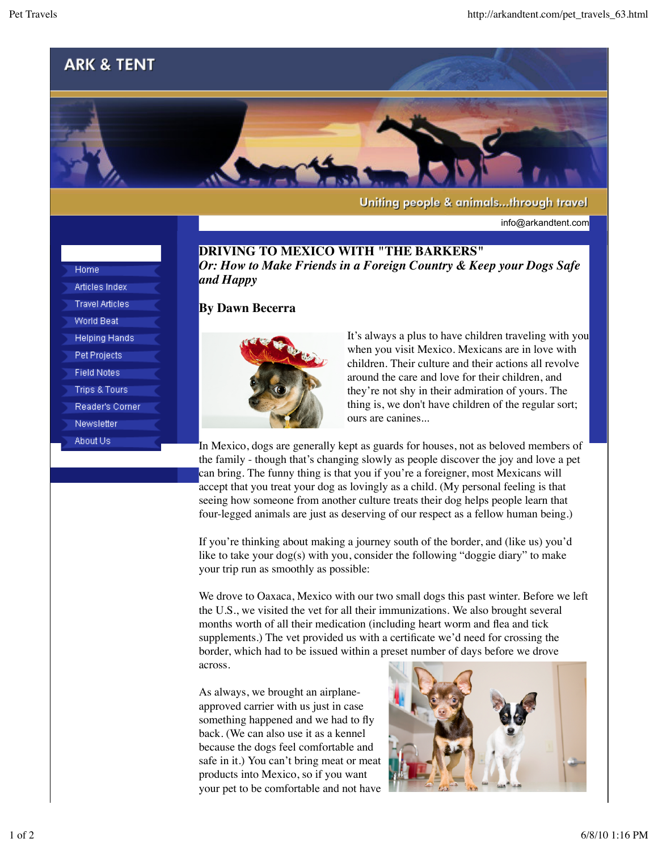## **ARK & TENT**



Uniting people & animals...through travel

info@arkandtent.com

**DRIVING TO MEXICO WITH "THE BARKERS"** *Or: How to Make Friends in a Foreign Country & Keep your Dogs Safe and Happy*

## **By Dawn Becerra**



It's always a plus to have children traveling with you when you visit Mexico. Mexicans are in love with children. Their culture and their actions all revolve around the care and love for their children, and they're not shy in their admiration of yours. The thing is, we don't have children of the regular sort; ours are canines...

In Mexico, dogs are generally kept as guards for houses, not as beloved members of the family - though that's changing slowly as people discover the joy and love a pet can bring. The funny thing is that you if you're a foreigner, most Mexicans will accept that you treat your dog as lovingly as a child. (My personal feeling is that seeing how someone from another culture treats their dog helps people learn that four-legged animals are just as deserving of our respect as a fellow human being.)

If you're thinking about making a journey south of the border, and (like us) you'd like to take your dog(s) with you, consider the following "doggie diary" to make your trip run as smoothly as possible:

We drove to Oaxaca, Mexico with our two small dogs this past winter. Before we left the U.S., we visited the vet for all their immunizations. We also brought several months worth of all their medication (including heart worm and flea and tick supplements.) The vet provided us with a certificate we'd need for crossing the border, which had to be issued within a preset number of days before we drove across.

As always, we brought an airplaneapproved carrier with us just in case something happened and we had to fly back. (We can also use it as a kennel because the dogs feel comfortable and safe in it.) You can't bring meat or meat products into Mexico, so if you want your pet to be comfortable and not have



| .                      |
|------------------------|
| Articles Index         |
|                        |
| <b>Travel Articles</b> |
|                        |
| World Beat             |

- **Helping Hands**
- Pet Projects
- **Field Notes**
- **Trips & Tours**
- Reader's Corner
- Newsletter
- About Us